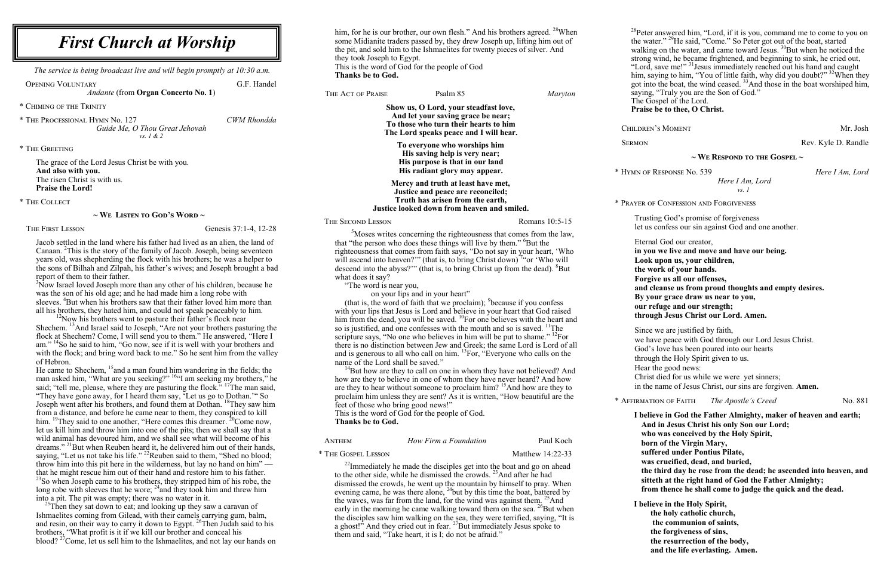him, for he is our brother, our own flesh." And his brothers agreed.  $^{28}$ When some Midianite traders passed by, they drew Joseph up, lifting him out of the pit, and sold him to the Ishmaelites for twenty pieces of silver. And they took Joseph to Egypt. This is the word of God for the people of God **Thanks be to God.**

the disciples saw him walking on the sea, they were terrified, saying, "It is a ghost!" And they cried out in fear.  $27$ But immediately Jesus spoke to

| THE ACT OF PRAISE                                                                                                                                                      | Psalm 85                                                                                                                                                                  | <b>Maryton</b>   | saying,<br>The Go          |
|------------------------------------------------------------------------------------------------------------------------------------------------------------------------|---------------------------------------------------------------------------------------------------------------------------------------------------------------------------|------------------|----------------------------|
|                                                                                                                                                                        | Show us, O Lord, your steadfast love,<br>And let your saving grace be near;<br>To those who turn their hearts to him                                                      |                  | Praise                     |
| The Lord speaks peace and I will hear.                                                                                                                                 | <b>CHILDREN</b>                                                                                                                                                           |                  |                            |
|                                                                                                                                                                        | To everyone who worships him<br>His saving help is very near;<br>His purpose is that in our land<br>His radiant glory may appear.                                         |                  | <b>SERMON</b><br>* HYMN OF |
|                                                                                                                                                                        | Mercy and truth at least have met,<br>Justice and peace are reconciled;                                                                                                   |                  |                            |
|                                                                                                                                                                        | Truth has arisen from the earth,<br>Justice looked down from heaven and smiled.                                                                                           |                  | * PRAYER OF                |
| THE SECOND LESSON                                                                                                                                                      |                                                                                                                                                                           | Romans 10:5-15   | Trusti                     |
|                                                                                                                                                                        | <sup>5</sup> Moses writes concerning the righteousness that comes from the law,                                                                                           |                  | let us                     |
| that "the person who does these things will live by them." <sup>6</sup> But the                                                                                        | Eterna                                                                                                                                                                    |                  |                            |
|                                                                                                                                                                        | righteousness that comes from faith says, "Do not say in your heart, 'Who                                                                                                 |                  | in you                     |
|                                                                                                                                                                        | will ascend into heaven?"" (that is, to bring Christ down) "or 'Who will                                                                                                  |                  | Look                       |
|                                                                                                                                                                        | descend into the abyss?"" (that is, to bring Christ up from the dead). <sup>8</sup> But                                                                                   |                  | the w                      |
| what does it say?<br>"The word is near you,                                                                                                                            |                                                                                                                                                                           |                  | Forgi                      |
|                                                                                                                                                                        | on your lips and in your heart"                                                                                                                                           |                  | and c                      |
|                                                                                                                                                                        | (that is, the word of faith that we proclaim); <sup>9</sup> because if you confess                                                                                        |                  | By yo                      |
| with your lips that Jesus is Lord and believe in your heart that God raised<br>him from the dead, you will be saved. <sup>10</sup> For one believes with the heart and | our r<br>throu                                                                                                                                                            |                  |                            |
|                                                                                                                                                                        | so is justified, and one confesses with the mouth and so is saved. <sup>11</sup> The                                                                                      |                  | Since                      |
| scripture says, "No one who believes in him will be put to shame." <sup>12</sup> For<br>there is no distinction between Jew and Greek; the same Lord is Lord of all    | we ha                                                                                                                                                                     |                  |                            |
| and is generous to all who call on him. <sup>13</sup> For, "Everyone who calls on the                                                                                  | God's                                                                                                                                                                     |                  |                            |
| name of the Lord shall be saved."                                                                                                                                      |                                                                                                                                                                           |                  | throug                     |
|                                                                                                                                                                        | <sup>14</sup> But how are they to call on one in whom they have not believed? And                                                                                         |                  | Hear                       |
| how are they to believe in one of whom they have never heard? And how                                                                                                  | Christ                                                                                                                                                                    |                  |                            |
|                                                                                                                                                                        | are they to hear without someone to proclaim him? $15$ And how are they to                                                                                                |                  | in the                     |
| feet of those who bring good news!"                                                                                                                                    | proclaim him unless they are sent? As it is written, "How beautiful are the                                                                                               |                  | * AFFIRMAT                 |
|                                                                                                                                                                        | This is the word of God for the people of God.                                                                                                                            |                  | I beli                     |
| Thanks be to God.                                                                                                                                                      |                                                                                                                                                                           |                  | Ano                        |
|                                                                                                                                                                        |                                                                                                                                                                           |                  | who                        |
| <b>ANTHEM</b>                                                                                                                                                          | How Firm a Foundation                                                                                                                                                     | Paul Koch        | bor                        |
| * THE GOSPEL LESSON                                                                                                                                                    |                                                                                                                                                                           | Matthew 14:22-33 | suff                       |
|                                                                                                                                                                        | <sup>22</sup> Immediately he made the disciples get into the boat and go on ahead                                                                                         |                  | was                        |
| to the other side, while he dismissed the crowds. <sup>23</sup> And after he had                                                                                       | the                                                                                                                                                                       |                  |                            |
|                                                                                                                                                                        | dismissed the crowds, he went up the mountain by himself to pray. When                                                                                                    |                  | sitt                       |
|                                                                                                                                                                        | evening came, he was there alone, $^{24}$ but by this time the boat, battered by                                                                                          |                  | fro                        |
|                                                                                                                                                                        | the waves, was far from the land, for the wind was against them. <sup>25</sup> And<br>early in the morning he came walking toward them on the sea. <sup>26</sup> But when |                  | I belio                    |

**In God the Father Almighty, maker of heaven and earth; And in Jesus Christ his only Son our Lord; who was conceived by the Holy Spirit, born of the Virgin Mary, suffered under Pontius Pilate, was crucified, dead, and buried,**  third day he rose from the dead; he ascended into heaven, and eth at the right hand of God the Father Almighty; **from thence he shall come to judge the quick and the dead. I** ieve in the Holy Spirit, **the holy catholic church,**

OPENING VOLUNTARY G.F. Handel *Andante* (from **Organ Concerto No. 1**)

them and said, "Take heart, it is I; do not be afraid."

 $28P$ eter answered him, "Lord, if it is you, command me to come to you on the water."<sup>29</sup>He said, "Come." So Peter got out of the boat, started walking on the water, and came toward Jesus.<sup>30</sup>But when he noticed the strong wind, he became frightened, and beginning to sink, he cried out, "Lord, save me!" <sup>31</sup> Jesus immediately reached out his hand and caught him, saying to him, "You of little faith, why did you doubt?" <sup>32</sup>When they got into the boat, the wind ceased. <sup>33</sup>And those in the boat worshiped him, "Truly you are the Son of God." ospel of the Lord.

be to thee, O Christ.

Children's Moment Mr. Josh

Rev. Kyle D. Randle

 $3\text{Now Israel loved Joseph more than any other of his children, because he$ was the son of his old age; and he had made him a long robe with sleeves. <sup>4</sup>But when his brothers saw that their father loved him more than all his brothers, they hated him, and could not speak peaceably to him.

 $12$ Now his brothers went to pasture their father's flock near Shechem. <sup>13</sup>And Israel said to Joseph, "Are not your brothers pasturing the flock at Shechem? Come, I will send you to them." He answered, "Here I am." <sup>14</sup>So he said to him, "Go now, see if it is well with your brothers and with the flock; and bring word back to me." So he sent him from the valley of Hebron.

## **~ We Respond to the Gospel ~**

**RESPONSE No. 539** *Here I Am, Lord* 

*Here I Am, Lord vs. 1*

**E CONFESSION AND FORGIVENESS** 

ing God's promise of forgiveness confess our sin against God and one another.

al God our creator, **in you we live and move and have our being. Look upon us, your children, the work of your hands. Forgive us all our offenses, and cleanse us from proud thoughts and empty desires. By your grace draw us near to you, efuge and our strength; the Jesus Christ our Lord. Amen.** 

we are justified by faith, we have peace with God through our Lord Jesus Christ. love has been poured into our hearts gh the Holy Spirit given to us. the good news: died for us while we were yet sinners; name of Jesus Christ, our sins are forgiven. Amen.

<sup>The Apostle</sup><sup>'</sup>*s* Creed No. 881

He came to Shechem,  $15$  and a man found him wandering in the fields; the man asked him, "What are you seeking?" <sup>16"</sup>I am seeking my brothers," he said; "tell me, please, where they are pasturing the flock."  $17$ The man said, "They have gone away, for I heard them say, 'Let us go to Dothan.'" So Joseph went after his brothers, and found them at Dothan. <sup>18</sup>They saw him from a distance, and before he came near to them, they conspired to kill him. <sup>19</sup>They said to one another, "Here comes this dreamer. <sup>20</sup>Come now, let us kill him and throw him into one of the pits; then we shall say that a wild animal has devoured him, and we shall see what will become of his dreams."<sup>21</sup>But when Reuben heard it, he delivered him out of their hands, saying, "Let us not take his life." <sup>22</sup>Reuben said to them, "Shed no blood; throw him into this pit here in the wilderness, but lay no hand on him" that he might rescue him out of their hand and restore him to his father.  $^{23}$ So when Joseph came to his brothers, they stripped him of his robe, the long robe with sleeves that he wore;  $^{24}$  and they took him and threw him into a pit. The pit was empty; there was no water in it.

 $25$ Then they sat down to eat; and looking up they saw a caravan of Ishmaelites coming from Gilead, with their camels carrying gum, balm, and resin, on their way to carry it down to Egypt. <sup>26</sup>Then Judah said to his brothers, "What profit is it if we kill our brother and conceal his blood?  $2^7$ Come, let us sell him to the Ishmaelites, and not lay our hands on

**the communion of saints, the forgiveness of sins, the resurrection of the body, and the life everlasting. Amen.** 

*The service is being broadcast live and will begin promptly at 10:30 a.m.*

\* Chiming of the Trinity

\* The Processional Hymn No. 127 *CWM Rhondda Guide Me, O Thou Great Jehovah vs. 1 & 2*

\* The Greeting

The grace of the Lord Jesus Christ be with you. **And also with you.** The risen Christ is with us. **Praise the Lord!**

\* The Collect

#### **~ We Listen to God's Word ~**

THE FIRST LESSON Genesis 37:1-4, 12-28

Jacob settled in the land where his father had lived as an alien, the land of Canaan. <sup>2</sup>This is the story of the family of Jacob. Joseph, being seventeen years old, was shepherding the flock with his brothers; he was a helper to the sons of Bilhah and Zilpah, his father's wives; and Joseph brought a bad report of them to their father.

# *First Church at Worship*